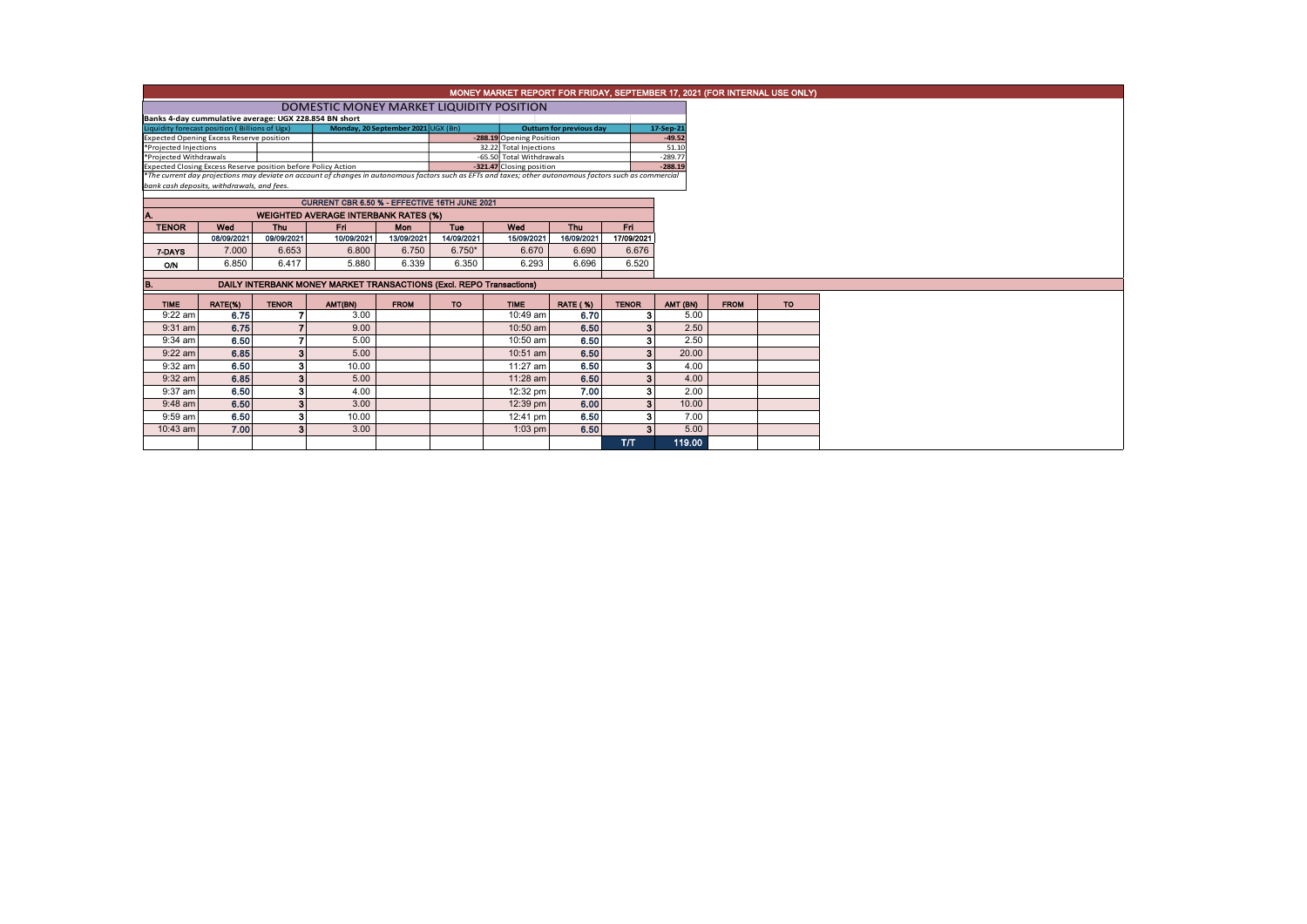| MONEY MARKET REPORT FOR FRIDAY, SEPTEMBER 17, 2021 (FOR INTERNAL USE ONLY) |                                                                     |              |                                                                                                                                                          |                                    |            |                                                    |                                 |                         |                    |        |             |  |  |
|----------------------------------------------------------------------------|---------------------------------------------------------------------|--------------|----------------------------------------------------------------------------------------------------------------------------------------------------------|------------------------------------|------------|----------------------------------------------------|---------------------------------|-------------------------|--------------------|--------|-------------|--|--|
|                                                                            |                                                                     |              | DOMESTIC MONEY MARKET LIQUIDITY POSITION                                                                                                                 |                                    |            |                                                    |                                 |                         |                    |        |             |  |  |
|                                                                            | Banks 4-day cummulative average: UGX 228.854 BN short               |              |                                                                                                                                                          |                                    |            |                                                    |                                 |                         |                    |        |             |  |  |
|                                                                            | Liquidity forecast position (Billions of Ugx)                       |              |                                                                                                                                                          | Monday, 20 September 2021 UGX (Bn) |            | -288.19 Opening Position                           | <b>Outturn for previous day</b> |                         | 17-Sep-21          |        |             |  |  |
| <b>Expected Opening Excess Reserve position</b>                            | $-49.52$                                                            |              |                                                                                                                                                          |                                    |            |                                                    |                                 |                         |                    |        |             |  |  |
| *Projected Injections<br>*Projected Withdrawals                            |                                                                     |              |                                                                                                                                                          |                                    |            | 32.22 Total Injections<br>-65.50 Total Withdrawals |                                 |                         | 51.10<br>$-289.77$ |        |             |  |  |
|                                                                            | Expected Closing Excess Reserve position before Policy Action       |              |                                                                                                                                                          |                                    |            | -321.47 Closing position                           |                                 |                         | $-288.19$          |        |             |  |  |
|                                                                            |                                                                     |              | *The current day projections may deviate on account of changes in autonomous factors such as EFTs and taxes; other autonomous factors such as commercial |                                    |            |                                                    |                                 |                         |                    |        |             |  |  |
|                                                                            | bank cash deposits, withdrawals, and fees.                          |              |                                                                                                                                                          |                                    |            |                                                    |                                 |                         |                    |        |             |  |  |
|                                                                            |                                                                     |              | CURRENT CBR 6.50 % - EFFECTIVE 16TH JUNE 2021                                                                                                            |                                    |            |                                                    |                                 |                         |                    |        |             |  |  |
| A.                                                                         |                                                                     |              | <b>WEIGHTED AVERAGE INTERBANK RATES (%)</b>                                                                                                              |                                    |            |                                                    |                                 |                         |                    |        |             |  |  |
| <b>TENOR</b>                                                               | Wed                                                                 | <b>Thu</b>   | Fri.                                                                                                                                                     | <b>Mon</b>                         | <b>Tue</b> | Wed                                                | <b>Thu</b>                      | Fri.                    |                    |        |             |  |  |
|                                                                            | 08/09/2021                                                          | 09/09/2021   | 10/09/2021                                                                                                                                               | 13/09/2021                         | 14/09/2021 | 15/09/2021                                         | 16/09/2021                      | 17/09/2021              |                    |        |             |  |  |
| 7-DAYS                                                                     | 7.000                                                               | 6.653        | 6.800                                                                                                                                                    | 6.750                              | $6.750*$   | 6.670                                              | 6.690                           | 6.676                   |                    |        |             |  |  |
| <b>O/N</b>                                                                 | 6.850                                                               | 6.417        | 5.880                                                                                                                                                    | 6.339                              | 6.350      | 6.293                                              | 6.696                           | 6.520                   |                    |        |             |  |  |
|                                                                            |                                                                     |              |                                                                                                                                                          |                                    |            |                                                    |                                 |                         |                    |        |             |  |  |
| B.                                                                         | DAILY INTERBANK MONEY MARKET TRANSACTIONS (Excl. REPO Transactions) |              |                                                                                                                                                          |                                    |            |                                                    |                                 |                         |                    |        |             |  |  |
| <b>TIME</b>                                                                | RATE(%)                                                             | <b>TENOR</b> | AMT(BN)                                                                                                                                                  | <b>FROM</b>                        | <b>TO</b>  | <b>TIME</b>                                        | <b>RATE (%)</b>                 | <b>TENOR</b>            | AMT (BN)           |        | <b>FROM</b> |  |  |
| $9:22$ am                                                                  | 6.75                                                                |              | 3.00                                                                                                                                                     |                                    |            | 10:49 am                                           | 6.70                            | з                       |                    | 5.00   |             |  |  |
| $9:31$ am                                                                  | 6.75                                                                |              | 9.00                                                                                                                                                     |                                    |            | 10:50 am                                           | 6.50                            | $\overline{\mathbf{3}}$ | 2.50               |        |             |  |  |
| $9:34$ am                                                                  | 6.50                                                                |              | 5.00                                                                                                                                                     |                                    |            | 10:50 am                                           | 6.50                            | 3                       | 2.50               |        |             |  |  |
| $9:22$ am                                                                  | 6.85                                                                | 3            | 5.00                                                                                                                                                     |                                    |            | 10:51 am                                           | 6.50                            | 3                       | 20.00              |        |             |  |  |
| $9:32$ am                                                                  | 6.50                                                                | 3            | 10.00                                                                                                                                                    |                                    |            | 11:27 am                                           | 6.50                            | 3                       |                    | 4.00   |             |  |  |
| $9:32$ am                                                                  | 6.85                                                                | 3            | 5.00                                                                                                                                                     |                                    |            | 11:28 am                                           | 6.50                            | 3                       |                    | 4.00   |             |  |  |
| $9:37$ am                                                                  | 6.50                                                                | 3            | 4.00                                                                                                                                                     |                                    |            | 12:32 pm                                           | 7.00                            | 3                       |                    | 2.00   |             |  |  |
| $9:48$ am                                                                  | 6.50                                                                | 3            | 3.00                                                                                                                                                     |                                    |            | 12:39 pm                                           | 6.00                            | $\overline{\mathbf{3}}$ | 10.00              |        |             |  |  |
| $9:59$ am                                                                  | 6.50                                                                | з            | 10.00                                                                                                                                                    |                                    |            | 12:41 pm                                           | 6.50                            | з                       |                    | 7.00   |             |  |  |
| 10:43 am                                                                   | 7.00                                                                | 3            | 3.00                                                                                                                                                     |                                    |            | $1:03$ pm                                          | 6.50                            | $\mathbf{a}$            |                    | 5.00   |             |  |  |
|                                                                            |                                                                     |              |                                                                                                                                                          |                                    |            |                                                    |                                 | T/T                     |                    | 119.00 |             |  |  |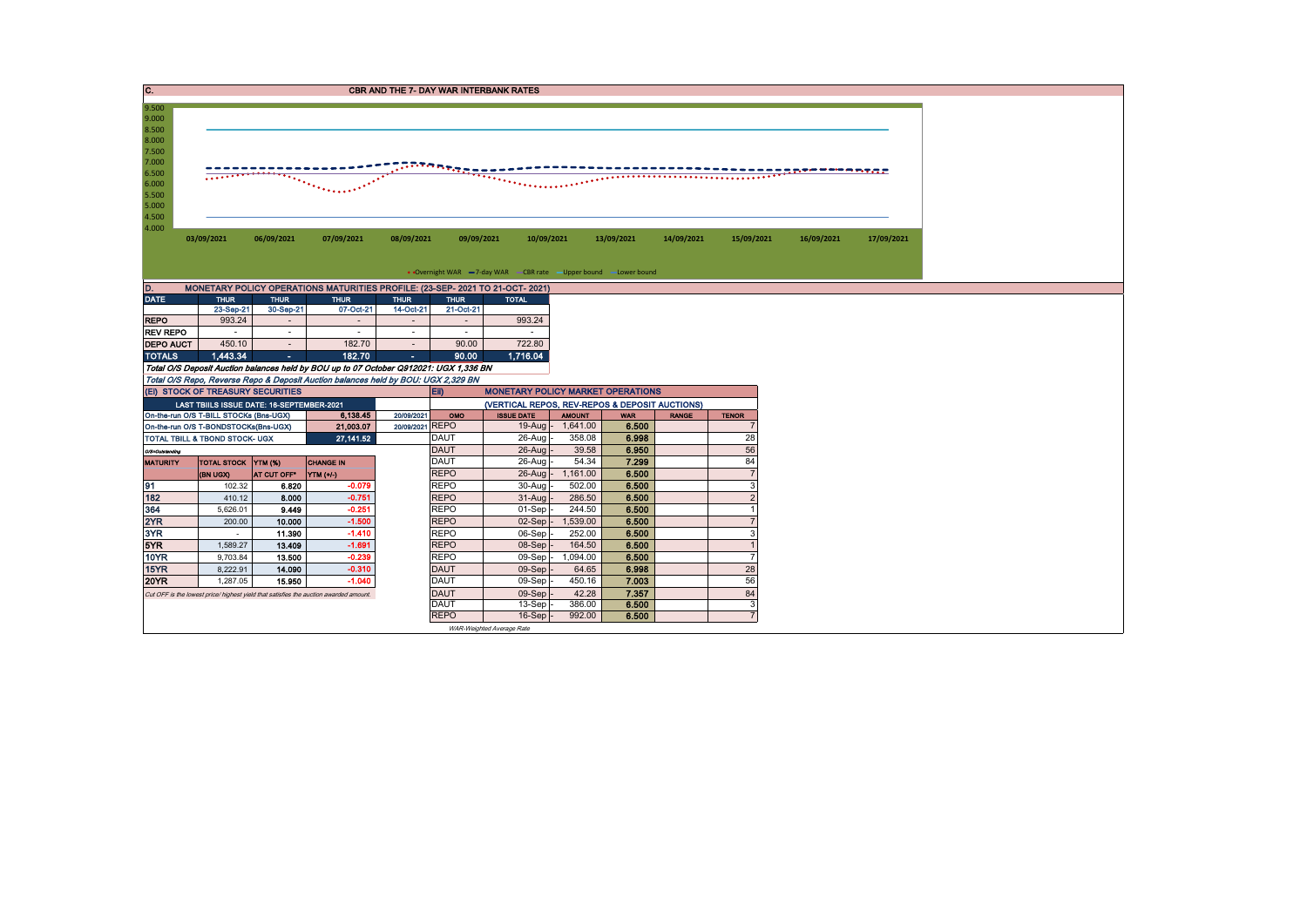| C.                                                                                                       |                                                                                                                                          |                                    |                                                                                       |                                    |                                   | <b>CBR AND THE 7- DAY WAR INTERBANK RATES</b>                     |                   |                |              |                     |            |            |  |  |
|----------------------------------------------------------------------------------------------------------|------------------------------------------------------------------------------------------------------------------------------------------|------------------------------------|---------------------------------------------------------------------------------------|------------------------------------|-----------------------------------|-------------------------------------------------------------------|-------------------|----------------|--------------|---------------------|------------|------------|--|--|
| 9.500<br>9.000<br>8.500<br>8.000<br>7.500<br>7.000<br>6.500<br>6.000<br>5.500<br>5.000<br>4.500<br>4.000 | ntantang <u>an s</u><br>ز چارچ وي جدده اسا شده وي چارچ<br>.<br>$\overline{\cdots}$<br>$\mathcal{D}^{\text{in}}(\mathcal{A},\mathcal{A})$ |                                    |                                                                                       |                                    |                                   |                                                                   |                   |                |              |                     |            |            |  |  |
|                                                                                                          | 03/09/2021                                                                                                                               | 06/09/2021                         | 07/09/2021                                                                            | 08/09/2021                         | 09/09/2021                        | 10/09/2021                                                        |                   | 13/09/2021     | 14/09/2021   | 15/09/2021          | 16/09/2021 | 17/09/2021 |  |  |
|                                                                                                          |                                                                                                                                          |                                    |                                                                                       |                                    |                                   |                                                                   |                   |                |              |                     |            |            |  |  |
|                                                                                                          |                                                                                                                                          |                                    |                                                                                       |                                    |                                   | • Overnight WAR -7-day WAR - CBR rate - Upper bound - Lower bound |                   |                |              |                     |            |            |  |  |
| D.                                                                                                       |                                                                                                                                          |                                    | MONETARY POLICY OPERATIONS MATURITIES PROFILE: (23-SEP-2021 TO 21-OCT-2021)           |                                    |                                   |                                                                   |                   |                |              |                     |            |            |  |  |
| <b>DATE</b>                                                                                              | <b>THUR</b>                                                                                                                              | <b>THUR</b>                        | <b>THUR</b>                                                                           | <b>THUR</b>                        | <b>THUR</b>                       | <b>TOTAL</b>                                                      |                   |                |              |                     |            |            |  |  |
|                                                                                                          | 23-Sep-21                                                                                                                                | 30-Sep-21                          | 07-Oct-21                                                                             | 14-Oct-21                          | 21-Oct-21                         |                                                                   |                   |                |              |                     |            |            |  |  |
| <b>REPO</b>                                                                                              | 993.24                                                                                                                                   | $\sim$                             |                                                                                       | $\overline{\phantom{a}}$           | $\overline{\phantom{a}}$          | 993.24                                                            |                   |                |              |                     |            |            |  |  |
| <b>REV REPO</b><br><b>DEPO AUCT</b>                                                                      | $\sim$<br>450.10                                                                                                                         | $\overline{\phantom{a}}$<br>$\sim$ | $\sim$<br>182.70                                                                      | $\overline{\phantom{a}}$<br>$\sim$ | $\overline{\phantom{a}}$<br>90.00 | $\sim$<br>722.80                                                  |                   |                |              |                     |            |            |  |  |
| <b>TOTALS</b>                                                                                            | 1,443.34                                                                                                                                 | х.                                 | 182.70                                                                                | ×.                                 | 90.00                             | 1,716.04                                                          |                   |                |              |                     |            |            |  |  |
|                                                                                                          |                                                                                                                                          |                                    | Total O/S Deposit Auction balances held by BOU up to 07 October Q912021: UGX 1,336 BN |                                    |                                   |                                                                   |                   |                |              |                     |            |            |  |  |
|                                                                                                          |                                                                                                                                          |                                    | Total O/S Repo, Reverse Repo & Deposit Auction balances held by BOU: UGX 2,329 BN     |                                    |                                   |                                                                   |                   |                |              |                     |            |            |  |  |
|                                                                                                          | (EI) STOCK OF TREASURY SECURITIES                                                                                                        |                                    |                                                                                       |                                    | EII)                              | <b>MONETARY POLICY MARKET OPERATIONS</b>                          |                   |                |              |                     |            |            |  |  |
|                                                                                                          | LAST TBIILS ISSUE DATE: 16-SEPTEMBER-2021                                                                                                |                                    |                                                                                       |                                    |                                   | (VERTICAL REPOS, REV-REPOS & DEPOSIT AUCTIONS)                    |                   |                |              |                     |            |            |  |  |
|                                                                                                          | On-the-run O/S T-BILL STOCKs (Bns-UGX)                                                                                                   |                                    | 6,138.45                                                                              | 20/09/2021                         | OMO                               | <b>ISSUE DATE</b>                                                 | <b>AMOUNT</b>     | <b>WAR</b>     | <b>RANGE</b> | <b>TENOR</b>        |            |            |  |  |
| 21,003.07<br>On-the-run O/S T-BONDSTOCKs(Bns-UGX)                                                        |                                                                                                                                          |                                    |                                                                                       | 20/09/2021 REPO                    |                                   |                                                                   | 19-Aug - 1,641.00 | 6.500          |              |                     |            |            |  |  |
|                                                                                                          | TOTAL TBILL & TBOND STOCK- UGX                                                                                                           |                                    | 27, 141.52                                                                            |                                    | <b>DAUT</b><br><b>DAUT</b>        | 26-Aug                                                            | 358.08            | 6.998          |              | 28<br>56            |            |            |  |  |
| O/S-Outstanding                                                                                          | <b>TOTAL STOCK YTM (%)</b>                                                                                                               |                                    | <b>CHANGE IN</b>                                                                      |                                    | <b>DAUT</b>                       | $26$ -Aug $-$<br>26-Aug                                           | 39.58<br>54.34    | 6.950<br>7.299 |              | 84                  |            |            |  |  |
| <b>MATURITY</b>                                                                                          | (BN UGX)                                                                                                                                 | AT CUT OFF*                        | YTM (+/)                                                                              |                                    | <b>REPO</b>                       |                                                                   | 26-Aug - 1,161.00 | 6.500          |              | $\overline{7}$      |            |            |  |  |
| 91                                                                                                       | 102.32                                                                                                                                   | 6.820                              | $-0.079$                                                                              |                                    | <b>REPO</b>                       | 30-Aug                                                            | 502.00            | 6.500          |              | 3                   |            |            |  |  |
| 182                                                                                                      | 410.12                                                                                                                                   | 8.000                              | $-0.751$                                                                              |                                    | <b>REPO</b>                       | $31-Auq$                                                          | 286.50            | 6.500          |              |                     |            |            |  |  |
| 364                                                                                                      | 5.626.01                                                                                                                                 | 9.449                              | $-0.251$                                                                              |                                    | <b>REPO</b>                       | $01-Sep$                                                          | 244.50            | 6.500          |              |                     |            |            |  |  |
| 2YR                                                                                                      | 200.00                                                                                                                                   | 10.000                             | $-1.500$                                                                              |                                    | <b>REPO</b>                       | $02-Sep$ -                                                        | 1,539.00          | 6.500          |              |                     |            |            |  |  |
| 3YR                                                                                                      | $\sim$                                                                                                                                   | 11.390                             | $-1.410$                                                                              |                                    | <b>REPO</b>                       | 06-Sep                                                            | 252.00            | 6.500          |              | 3                   |            |            |  |  |
| 5YR                                                                                                      | 1,589.27                                                                                                                                 | 13.409                             | $-1.691$                                                                              |                                    | <b>REPO</b>                       | $08-Sep$                                                          | 164.50            | 6.500          |              |                     |            |            |  |  |
| <b>10YR</b>                                                                                              | 9,703.84                                                                                                                                 | 13.500                             | $-0.239$                                                                              |                                    | <b>REPO</b>                       | 09-Sep -                                                          | 1,094.00          | 6.500          |              |                     |            |            |  |  |
| 15YR                                                                                                     | 8,222.91                                                                                                                                 | 14.090                             | $-0.310$                                                                              |                                    | <b>DAUT</b>                       | $09-Sep$                                                          | 64.65             | 6.998          |              | 28                  |            |            |  |  |
| <b>20YR</b>                                                                                              | 1,287.05                                                                                                                                 | 15.950                             | $-1.040$                                                                              |                                    | <b>DAUT</b>                       | 09-Sep                                                            | 450.16            | 7.003          |              | 56                  |            |            |  |  |
|                                                                                                          |                                                                                                                                          |                                    | Cut OFF is the lowest price/ highest yield that satisfies the auction awarded amount. | <b>DAUT</b>                        | 09-Sep                            | 42.28                                                             | 7.357             |                | 84           |                     |            |            |  |  |
|                                                                                                          |                                                                                                                                          |                                    |                                                                                       |                                    |                                   |                                                                   |                   |                |              |                     |            |            |  |  |
|                                                                                                          |                                                                                                                                          |                                    |                                                                                       |                                    | <b>DAUT</b><br><b>REPO</b>        | $13-Sep$<br>$16-Sep$ -                                            | 386.00<br>992.00  | 6.500<br>6.500 |              | 3<br>$\overline{7}$ |            |            |  |  |